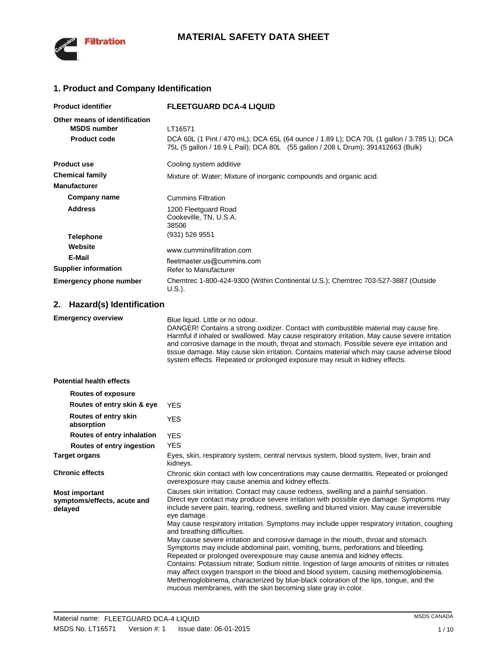

#### **1. Product and Company Identification**

| <b>Product identifier</b>                           | <b>FLEETGUARD DCA-4 LIQUID</b>                                                                                                                                                |
|-----------------------------------------------------|-------------------------------------------------------------------------------------------------------------------------------------------------------------------------------|
| Other means of identification<br><b>MSDS number</b> | LT16571                                                                                                                                                                       |
| <b>Product code</b>                                 | DCA 60L (1 Pint / 470 mL); DCA 65L (64 ounce / 1.89 L); DCA 70L (1 gallon / 3.785 L); DCA<br>75L (5 gallon / 18.9 L Pail); DCA 80L (55 gallon / 208 L Drum); 391412663 (Bulk) |
| <b>Product use</b>                                  | Cooling system additive                                                                                                                                                       |
| <b>Chemical family</b>                              | Mixture of: Water; Mixture of inorganic compounds and organic acid.                                                                                                           |
| <b>Manufacturer</b>                                 |                                                                                                                                                                               |
| Company name                                        | <b>Cummins Filtration</b>                                                                                                                                                     |
| <b>Address</b>                                      | 1200 Fleetguard Road<br>Cookeville, TN, U.S.A.<br>38506                                                                                                                       |
| <b>Telephone</b>                                    | (931) 526 9551                                                                                                                                                                |
| Website                                             | www.cumminsfiltration.com                                                                                                                                                     |
| E-Mail                                              | fleetmaster.us@cummins.com                                                                                                                                                    |
| <b>Supplier information</b>                         | Refer to Manufacturer                                                                                                                                                         |
| <b>Emergency phone number</b>                       | Chemtrec 1-800-424-9300 (Within Continental U.S.); Chemtrec 703-527-3887 (Outside<br>U.S.).                                                                                   |

### **2. Hazard(s) Identification**

**Emergency overview Blue liquid. Little or no odour.** 

DANGER! Contains a strong oxidizer. Contact with combustible material may cause fire. Harmful if inhaled or swallowed. May cause respiratory irritation. May cause severe irritation and corrosive damage in the mouth, throat and stomach. Possible severe eye irritation and tissue damage. May cause skin irritation. Contains material which may cause adverse blood system effects. Repeated or prolonged exposure may result in kidney effects.

#### **Potential health effects**

| <b>Routes of exposure</b>                                       |                                                                                                                                                                                                                                                                                                                                                                                                                                                                                                                                                                                                         |
|-----------------------------------------------------------------|---------------------------------------------------------------------------------------------------------------------------------------------------------------------------------------------------------------------------------------------------------------------------------------------------------------------------------------------------------------------------------------------------------------------------------------------------------------------------------------------------------------------------------------------------------------------------------------------------------|
| Routes of entry skin & eye                                      | <b>YES</b>                                                                                                                                                                                                                                                                                                                                                                                                                                                                                                                                                                                              |
| Routes of entry skin<br>absorption                              | <b>YES</b>                                                                                                                                                                                                                                                                                                                                                                                                                                                                                                                                                                                              |
| Routes of entry inhalation                                      | <b>YES</b>                                                                                                                                                                                                                                                                                                                                                                                                                                                                                                                                                                                              |
| Routes of entry ingestion                                       | <b>YES</b>                                                                                                                                                                                                                                                                                                                                                                                                                                                                                                                                                                                              |
| <b>Target organs</b>                                            | Eyes, skin, respiratory system, central nervous system, blood system, liver, brain and<br>kidneys.                                                                                                                                                                                                                                                                                                                                                                                                                                                                                                      |
| <b>Chronic effects</b>                                          | Chronic skin contact with low concentrations may cause dermatitis. Repeated or prolonged<br>overexposure may cause anemia and kidney effects.                                                                                                                                                                                                                                                                                                                                                                                                                                                           |
| <b>Most important</b><br>symptoms/effects, acute and<br>delayed | Causes skin irritation. Contact may cause redness, swelling and a painful sensation.<br>Direct eye contact may produce severe irritation with possible eye damage. Symptoms may<br>include severe pain, tearing, redness, swelling and blurred vision. May cause irreversible<br>eye damage.                                                                                                                                                                                                                                                                                                            |
|                                                                 | May cause respiratory irritation. Symptoms may include upper respiratory irritation, coughing<br>and breathing difficulties.                                                                                                                                                                                                                                                                                                                                                                                                                                                                            |
|                                                                 | May cause severe irritation and corrosive damage in the mouth, throat and stomach.<br>Symptoms may include abdominal pain, vomiting, burns, perforations and bleeding.<br>Repeated or prolonged overexposure may cause anemia and kidney effects.<br>Contains: Potassium nitrate; Sodium nitrite. Ingestion of large amounts of nitrites or nitrates<br>may affect oxygen transport in the blood and blood system, causing methemoglobinemia.<br>Methemoglobinema, characterized by blue-black coloration of the lips, tongue, and the<br>mucous membranes, with the skin becoming slate gray in color. |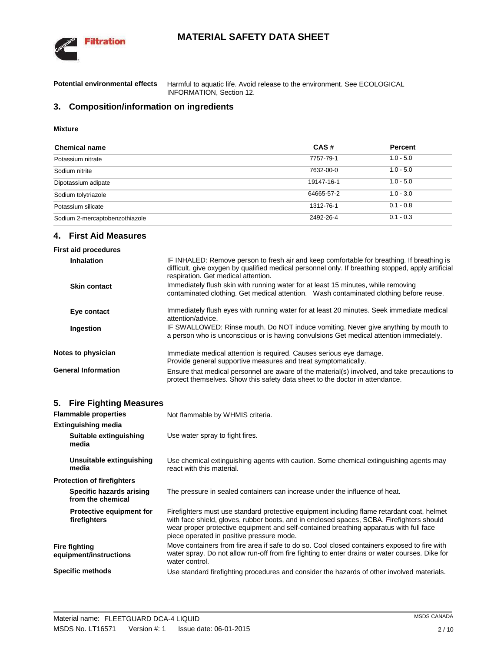

**Potential environmental effects** Harmful to aquatic life. Avoid release to the environment. See ECOLOGICAL INFORMATION, Section 12.

### **3. Composition/information on ingredients**

#### **Mixture**

| <b>Chemical name</b>           | CAS#       | <b>Percent</b> |
|--------------------------------|------------|----------------|
| Potassium nitrate              | 7757-79-1  | $1.0 - 5.0$    |
| Sodium nitrite                 | 7632-00-0  | $1.0 - 5.0$    |
| Dipotassium adipate            | 19147-16-1 | $1.0 - 5.0$    |
| Sodium tolytriazole            | 64665-57-2 | $1.0 - 3.0$    |
| Potassium silicate             | 1312-76-1  | $0.1 - 0.8$    |
| Sodium 2-mercaptobenzothiazole | 2492-26-4  | $0.1 - 0.3$    |

### **4. First Aid Measures**

| <b>First aid procedures</b> |                                                                                                                                                                                                                                         |
|-----------------------------|-----------------------------------------------------------------------------------------------------------------------------------------------------------------------------------------------------------------------------------------|
| Inhalation                  | IF INHALED: Remove person to fresh air and keep comfortable for breathing. If breathing is<br>difficult, give oxygen by qualified medical personnel only. If breathing stopped, apply artificial<br>respiration. Get medical attention. |
| <b>Skin contact</b>         | Immediately flush skin with running water for at least 15 minutes, while removing<br>contaminated clothing. Get medical attention. Wash contaminated clothing before reuse.                                                             |
| Eye contact                 | Immediately flush eyes with running water for at least 20 minutes. Seek immediate medical<br>attention/advice.                                                                                                                          |
| Ingestion                   | IF SWALLOWED: Rinse mouth. Do NOT induce vomiting. Never give anything by mouth to<br>a person who is unconscious or is having convulsions Get medical attention immediately.                                                           |
| Notes to physician          | Immediate medical attention is required. Causes serious eye damage.<br>Provide general supportive measures and treat symptomatically.                                                                                                   |
| <b>General Information</b>  | Ensure that medical personnel are aware of the material(s) involved, and take precautions to<br>protect themselves. Show this safety data sheet to the doctor in attendance.                                                            |

### **5. Fire Fighting Measures**

| <b>Flammable properties</b><br><b>Extinguishing media</b> | Not flammable by WHMIS criteria.                                                                                                                                                                                                                                                                                               |
|-----------------------------------------------------------|--------------------------------------------------------------------------------------------------------------------------------------------------------------------------------------------------------------------------------------------------------------------------------------------------------------------------------|
| Suitable extinguishing<br>media                           | Use water spray to fight fires.                                                                                                                                                                                                                                                                                                |
| Unsuitable extinguishing<br>media                         | Use chemical extinguishing agents with caution. Some chemical extinguishing agents may<br>react with this material.                                                                                                                                                                                                            |
| <b>Protection of firefighters</b>                         |                                                                                                                                                                                                                                                                                                                                |
| Specific hazards arising<br>from the chemical             | The pressure in sealed containers can increase under the influence of heat.                                                                                                                                                                                                                                                    |
| <b>Protective equipment for</b><br>firefighters           | Firefighters must use standard protective equipment including flame retardant coat, helmet<br>with face shield, gloves, rubber boots, and in enclosed spaces, SCBA. Firefighters should<br>wear proper protective equipment and self-contained breathing apparatus with full face<br>piece operated in positive pressure mode. |
| <b>Fire fighting</b><br>equipment/instructions            | Move containers from fire area if safe to do so. Cool closed containers exposed to fire with<br>water spray. Do not allow run-off from fire fighting to enter drains or water courses. Dike for<br>water control.                                                                                                              |
| <b>Specific methods</b>                                   | Use standard firefighting procedures and consider the hazards of other involved materials.                                                                                                                                                                                                                                     |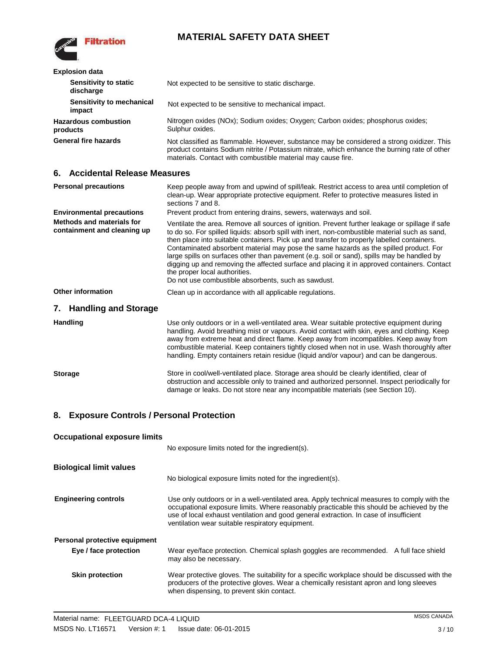

| <b>Explosion data</b>                                    |                                                                                                                                                                                                                                                                                                                                                                                                                                                                                                                                                                                                                                                                               |
|----------------------------------------------------------|-------------------------------------------------------------------------------------------------------------------------------------------------------------------------------------------------------------------------------------------------------------------------------------------------------------------------------------------------------------------------------------------------------------------------------------------------------------------------------------------------------------------------------------------------------------------------------------------------------------------------------------------------------------------------------|
| <b>Sensitivity to static</b><br>discharge                | Not expected to be sensitive to static discharge.                                                                                                                                                                                                                                                                                                                                                                                                                                                                                                                                                                                                                             |
| Sensitivity to mechanical<br>impact                      | Not expected to be sensitive to mechanical impact.                                                                                                                                                                                                                                                                                                                                                                                                                                                                                                                                                                                                                            |
| <b>Hazardous combustion</b><br>products                  | Nitrogen oxides (NOx); Sodium oxides; Oxygen; Carbon oxides; phosphorus oxides;<br>Sulphur oxides.                                                                                                                                                                                                                                                                                                                                                                                                                                                                                                                                                                            |
| <b>General fire hazards</b>                              | Not classified as flammable. However, substance may be considered a strong oxidizer. This<br>product contains Sodium nitrite / Potassium nitrate, which enhance the burning rate of other<br>materials. Contact with combustible material may cause fire.                                                                                                                                                                                                                                                                                                                                                                                                                     |
| <b>Accidental Release Measures</b><br>6.                 |                                                                                                                                                                                                                                                                                                                                                                                                                                                                                                                                                                                                                                                                               |
| <b>Personal precautions</b>                              | Keep people away from and upwind of spill/leak. Restrict access to area until completion of<br>clean-up. Wear appropriate protective equipment. Refer to protective measures listed in<br>sections 7 and 8.                                                                                                                                                                                                                                                                                                                                                                                                                                                                   |
| <b>Environmental precautions</b>                         | Prevent product from entering drains, sewers, waterways and soil.                                                                                                                                                                                                                                                                                                                                                                                                                                                                                                                                                                                                             |
| Methods and materials for<br>containment and cleaning up | Ventilate the area. Remove all sources of ignition. Prevent further leakage or spillage if safe<br>to do so. For spilled liquids: absorb spill with inert, non-combustible material such as sand,<br>then place into suitable containers. Pick up and transfer to properly labelled containers.<br>Contaminated absorbent material may pose the same hazards as the spilled product. For<br>large spills on surfaces other than pavement (e.g. soil or sand), spills may be handled by<br>digging up and removing the affected surface and placing it in approved containers. Contact<br>the proper local authorities.<br>Do not use combustible absorbents, such as sawdust. |
| <b>Other information</b>                                 | Clean up in accordance with all applicable regulations.                                                                                                                                                                                                                                                                                                                                                                                                                                                                                                                                                                                                                       |

### **7. Handling and Storage**

Use only outdoors or in a well-ventilated area. Wear suitable protective equipment during handling. Avoid breathing mist or vapours. Avoid contact with skin, eyes and clothing. Keep away from extreme heat and direct flame. Keep away from incompatibles. Keep away from combustible material. Keep containers tightly closed when not in use. Wash thoroughly after handling. Empty containers retain residue (liquid and/or vapour) and can be dangerous. **Handling**

**Storage** Store in cool/well-ventilated place. Storage area should be clearly identified, clear of obstruction and accessible only to trained and authorized personnel. Inspect periodically for damage or leaks. Do not store near any incompatible materials (see Section 10).

### **8. Exposure Controls / Personal Protection**

| <b>Occupational exposure limits</b> |                                                                                                                                                                                                                                                                                                                                       |
|-------------------------------------|---------------------------------------------------------------------------------------------------------------------------------------------------------------------------------------------------------------------------------------------------------------------------------------------------------------------------------------|
|                                     | No exposure limits noted for the ingredient(s).                                                                                                                                                                                                                                                                                       |
| <b>Biological limit values</b>      |                                                                                                                                                                                                                                                                                                                                       |
|                                     | No biological exposure limits noted for the ingredient(s).                                                                                                                                                                                                                                                                            |
| <b>Engineering controls</b>         | Use only outdoors or in a well-ventilated area. Apply technical measures to comply with the<br>occupational exposure limits. Where reasonably practicable this should be achieved by the<br>use of local exhaust ventilation and good general extraction. In case of insufficient<br>ventilation wear suitable respiratory equipment. |
| Personal protective equipment       |                                                                                                                                                                                                                                                                                                                                       |
| Eye / face protection               | Wear eye/face protection. Chemical splash goggles are recommended. A full face shield<br>may also be necessary.                                                                                                                                                                                                                       |
| <b>Skin protection</b>              | Wear protective gloves. The suitability for a specific workplace should be discussed with the<br>producers of the protective gloves. Wear a chemically resistant apron and long sleeves<br>when dispensing, to prevent skin contact.                                                                                                  |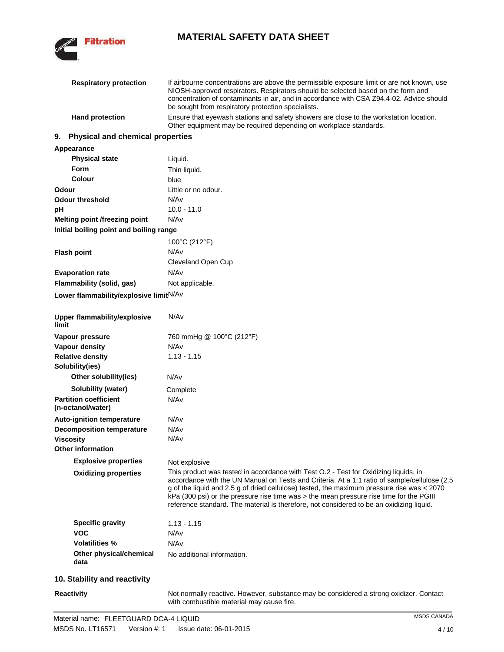

**Respiratory protection** If airbourne concentrations are above the permissible exposure limit or are not known, use

|                                               | NIOSH-approved respirators. Respirators should be selected based on the form and<br>concentration of contaminants in air, and in accordance with CSA Z94.4-02. Advice should<br>be sought from respiratory protection specialists.                                                                                                                                                                                                                                        |
|-----------------------------------------------|---------------------------------------------------------------------------------------------------------------------------------------------------------------------------------------------------------------------------------------------------------------------------------------------------------------------------------------------------------------------------------------------------------------------------------------------------------------------------|
| <b>Hand protection</b>                        | Ensure that eyewash stations and safety showers are close to the workstation location.<br>Other equipment may be required depending on workplace standards.                                                                                                                                                                                                                                                                                                               |
| <b>Physical and chemical properties</b><br>9. |                                                                                                                                                                                                                                                                                                                                                                                                                                                                           |
| Appearance                                    |                                                                                                                                                                                                                                                                                                                                                                                                                                                                           |
| <b>Physical state</b>                         | Liquid.                                                                                                                                                                                                                                                                                                                                                                                                                                                                   |
| <b>Form</b>                                   | Thin liquid.                                                                                                                                                                                                                                                                                                                                                                                                                                                              |
| <b>Colour</b>                                 | blue                                                                                                                                                                                                                                                                                                                                                                                                                                                                      |
| Odour                                         | Little or no odour.                                                                                                                                                                                                                                                                                                                                                                                                                                                       |
| <b>Odour threshold</b>                        | N/Av                                                                                                                                                                                                                                                                                                                                                                                                                                                                      |
| рH                                            | $10.0 - 11.0$                                                                                                                                                                                                                                                                                                                                                                                                                                                             |
| Melting point /freezing point                 | N/Av                                                                                                                                                                                                                                                                                                                                                                                                                                                                      |
| Initial boiling point and boiling range       |                                                                                                                                                                                                                                                                                                                                                                                                                                                                           |
|                                               | 100°C (212°F)                                                                                                                                                                                                                                                                                                                                                                                                                                                             |
| <b>Flash point</b>                            | N/Av                                                                                                                                                                                                                                                                                                                                                                                                                                                                      |
|                                               | Cleveland Open Cup                                                                                                                                                                                                                                                                                                                                                                                                                                                        |
| <b>Evaporation rate</b>                       | N/Av                                                                                                                                                                                                                                                                                                                                                                                                                                                                      |
| Flammability (solid, gas)                     | Not applicable.                                                                                                                                                                                                                                                                                                                                                                                                                                                           |
| Lower flammability/explosive limitN/Av        |                                                                                                                                                                                                                                                                                                                                                                                                                                                                           |
|                                               |                                                                                                                                                                                                                                                                                                                                                                                                                                                                           |
| Upper flammability/explosive<br>limit         | N/Av                                                                                                                                                                                                                                                                                                                                                                                                                                                                      |
| Vapour pressure                               | 760 mmHg @ 100°C (212°F)                                                                                                                                                                                                                                                                                                                                                                                                                                                  |
| Vapour density                                | N/Av                                                                                                                                                                                                                                                                                                                                                                                                                                                                      |
| <b>Relative density</b>                       | $1.13 - 1.15$                                                                                                                                                                                                                                                                                                                                                                                                                                                             |
| Solubility(ies)                               |                                                                                                                                                                                                                                                                                                                                                                                                                                                                           |
| Other solubility(ies)                         | N/Av                                                                                                                                                                                                                                                                                                                                                                                                                                                                      |
| Solubility (water)                            | Complete                                                                                                                                                                                                                                                                                                                                                                                                                                                                  |
| <b>Partition coefficient</b>                  | N/Av                                                                                                                                                                                                                                                                                                                                                                                                                                                                      |
| (n-octanol/water)                             |                                                                                                                                                                                                                                                                                                                                                                                                                                                                           |
| <b>Auto-ignition temperature</b>              | N/Av                                                                                                                                                                                                                                                                                                                                                                                                                                                                      |
| <b>Decomposition temperature</b>              | N/Av                                                                                                                                                                                                                                                                                                                                                                                                                                                                      |
| <b>Viscosity</b>                              | N/Av                                                                                                                                                                                                                                                                                                                                                                                                                                                                      |
| <b>Other information</b>                      |                                                                                                                                                                                                                                                                                                                                                                                                                                                                           |
| <b>Explosive properties</b>                   | Not explosive                                                                                                                                                                                                                                                                                                                                                                                                                                                             |
| <b>Oxidizing properties</b>                   | This product was tested in accordance with Test O.2 - Test for Oxidizing liquids, in<br>accordance with the UN Manual on Tests and Criteria. At a 1:1 ratio of sample/cellulose (2.5<br>g of the liquid and 2.5 g of dried cellulose) tested, the maximum pressure rise was < 2070<br>kPa (300 psi) or the pressure rise time was > the mean pressure rise time for the PGIII<br>reference standard. The material is therefore, not considered to be an oxidizing liquid. |
| <b>Specific gravity</b>                       | $1.13 - 1.15$                                                                                                                                                                                                                                                                                                                                                                                                                                                             |
| <b>VOC</b>                                    | N/Av                                                                                                                                                                                                                                                                                                                                                                                                                                                                      |
| <b>Volatilities %</b>                         | N/Av                                                                                                                                                                                                                                                                                                                                                                                                                                                                      |
| Other physical/chemical                       | No additional information.                                                                                                                                                                                                                                                                                                                                                                                                                                                |
| data                                          |                                                                                                                                                                                                                                                                                                                                                                                                                                                                           |

#### **10. Stability and reactivity**

#### **Reactivity**

Not normally reactive. However, substance may be considered a strong oxidizer. Contact with combustible material may cause fire.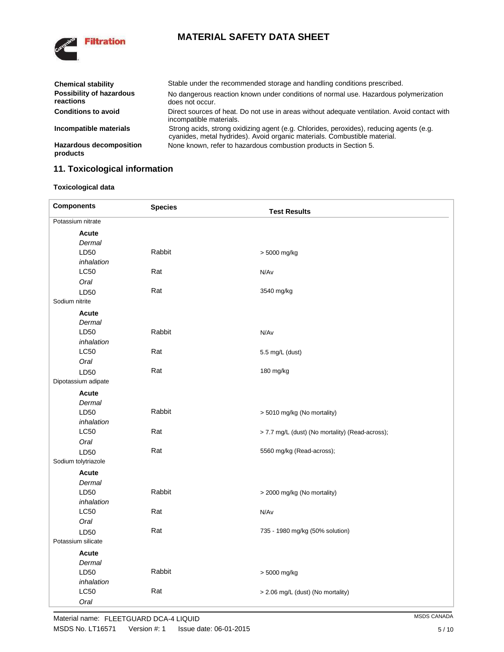

| <b>Chemical stability</b>                    | Stable under the recommended storage and handling conditions prescribed.                                                                                             |
|----------------------------------------------|----------------------------------------------------------------------------------------------------------------------------------------------------------------------|
| <b>Possibility of hazardous</b><br>reactions | No dangerous reaction known under conditions of normal use. Hazardous polymerization<br>does not occur.                                                              |
| <b>Conditions to avoid</b>                   | Direct sources of heat. Do not use in areas without adequate ventilation. Avoid contact with<br>incompatible materials.                                              |
| Incompatible materials                       | Strong acids, strong oxidizing agent (e.g. Chlorides, peroxides), reducing agents (e.g.<br>cyanides, metal hydrides). Avoid organic materials. Combustible material. |
| <b>Hazardous decomposition</b><br>products   | None known, refer to hazardous combustion products in Section 5.                                                                                                     |

# **11. Toxicological information**

#### **Toxicological data**

| <b>Components</b>   | <b>Species</b> | <b>Test Results</b>                             |  |
|---------------------|----------------|-------------------------------------------------|--|
| Potassium nitrate   |                |                                                 |  |
| Acute               |                |                                                 |  |
| Dermal              |                |                                                 |  |
| LD50                | Rabbit         | > 5000 mg/kg                                    |  |
| inhalation          |                |                                                 |  |
| <b>LC50</b>         | Rat            | N/Av                                            |  |
| Oral                |                |                                                 |  |
| LD50                | Rat            | 3540 mg/kg                                      |  |
| Sodium nitrite      |                |                                                 |  |
| Acute               |                |                                                 |  |
| Dermal              |                |                                                 |  |
| LD50                | Rabbit         | N/Av                                            |  |
| inhalation          |                |                                                 |  |
| LC50                | Rat            | 5.5 mg/L (dust)                                 |  |
| Oral                |                |                                                 |  |
| LD50                | Rat            | 180 mg/kg                                       |  |
| Dipotassium adipate |                |                                                 |  |
| Acute               |                |                                                 |  |
| Dermal              |                |                                                 |  |
| LD50                | Rabbit         | > 5010 mg/kg (No mortality)                     |  |
| inhalation          |                |                                                 |  |
| <b>LC50</b>         | Rat            | > 7.7 mg/L (dust) (No mortality) (Read-across); |  |
| Oral                |                |                                                 |  |
| LD50                | Rat            | 5560 mg/kg (Read-across);                       |  |
| Sodium tolytriazole |                |                                                 |  |
| <b>Acute</b>        |                |                                                 |  |
| Dermal              |                |                                                 |  |
| LD50                | Rabbit         | > 2000 mg/kg (No mortality)                     |  |
| inhalation          |                |                                                 |  |
| LC50                | Rat            | N/Av                                            |  |
| Oral                |                |                                                 |  |
| LD50                | Rat            | 735 - 1980 mg/kg (50% solution)                 |  |
| Potassium silicate  |                |                                                 |  |
| Acute               |                |                                                 |  |
| Dermal              |                |                                                 |  |
| LD50                | Rabbit         | > 5000 mg/kg                                    |  |
| inhalation          |                |                                                 |  |
| <b>LC50</b>         | Rat            | > 2.06 mg/L (dust) (No mortality)               |  |
| Oral                |                |                                                 |  |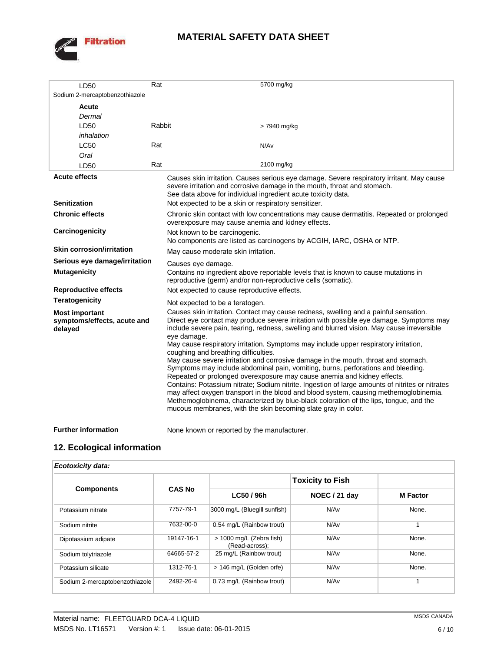

| LD50<br>Sodium 2-mercaptobenzothiazole                          | Rat    |                                                                                                       | 5700 mg/kg                                                                                                                                                                                                                                                                                                                                                                                                                                                                                                                                                                                                                                                                                                                                                                                                             |  |
|-----------------------------------------------------------------|--------|-------------------------------------------------------------------------------------------------------|------------------------------------------------------------------------------------------------------------------------------------------------------------------------------------------------------------------------------------------------------------------------------------------------------------------------------------------------------------------------------------------------------------------------------------------------------------------------------------------------------------------------------------------------------------------------------------------------------------------------------------------------------------------------------------------------------------------------------------------------------------------------------------------------------------------------|--|
|                                                                 |        |                                                                                                       |                                                                                                                                                                                                                                                                                                                                                                                                                                                                                                                                                                                                                                                                                                                                                                                                                        |  |
| Acute                                                           |        |                                                                                                       |                                                                                                                                                                                                                                                                                                                                                                                                                                                                                                                                                                                                                                                                                                                                                                                                                        |  |
| Dermal                                                          |        |                                                                                                       |                                                                                                                                                                                                                                                                                                                                                                                                                                                                                                                                                                                                                                                                                                                                                                                                                        |  |
| LD50                                                            | Rabbit |                                                                                                       | > 7940 mg/kg                                                                                                                                                                                                                                                                                                                                                                                                                                                                                                                                                                                                                                                                                                                                                                                                           |  |
| inhalation                                                      |        |                                                                                                       |                                                                                                                                                                                                                                                                                                                                                                                                                                                                                                                                                                                                                                                                                                                                                                                                                        |  |
| <b>LC50</b>                                                     | Rat    |                                                                                                       | N/Av                                                                                                                                                                                                                                                                                                                                                                                                                                                                                                                                                                                                                                                                                                                                                                                                                   |  |
| Oral                                                            |        |                                                                                                       |                                                                                                                                                                                                                                                                                                                                                                                                                                                                                                                                                                                                                                                                                                                                                                                                                        |  |
| LD50                                                            | Rat    |                                                                                                       | 2100 mg/kg                                                                                                                                                                                                                                                                                                                                                                                                                                                                                                                                                                                                                                                                                                                                                                                                             |  |
| <b>Acute effects</b>                                            |        |                                                                                                       | Causes skin irritation. Causes serious eye damage. Severe respiratory irritant. May cause<br>severe irritation and corrosive damage in the mouth, throat and stomach.<br>See data above for individual ingredient acute toxicity data.                                                                                                                                                                                                                                                                                                                                                                                                                                                                                                                                                                                 |  |
| <b>Senitization</b>                                             |        | Not expected to be a skin or respiratory sensitizer.                                                  |                                                                                                                                                                                                                                                                                                                                                                                                                                                                                                                                                                                                                                                                                                                                                                                                                        |  |
| <b>Chronic effects</b>                                          |        | overexposure may cause anemia and kidney effects.                                                     | Chronic skin contact with low concentrations may cause dermatitis. Repeated or prolonged                                                                                                                                                                                                                                                                                                                                                                                                                                                                                                                                                                                                                                                                                                                               |  |
| Carcinogenicity                                                 |        | Not known to be carcinogenic.<br>No components are listed as carcinogens by ACGIH, IARC, OSHA or NTP. |                                                                                                                                                                                                                                                                                                                                                                                                                                                                                                                                                                                                                                                                                                                                                                                                                        |  |
| <b>Skin corrosion/irritation</b>                                |        | May cause moderate skin irritation.                                                                   |                                                                                                                                                                                                                                                                                                                                                                                                                                                                                                                                                                                                                                                                                                                                                                                                                        |  |
| Serious eye damage/irritation                                   |        | Causes eye damage.                                                                                    |                                                                                                                                                                                                                                                                                                                                                                                                                                                                                                                                                                                                                                                                                                                                                                                                                        |  |
| <b>Mutagenicity</b>                                             |        |                                                                                                       | Contains no ingredient above reportable levels that is known to cause mutations in<br>reproductive (germ) and/or non-reproductive cells (somatic).                                                                                                                                                                                                                                                                                                                                                                                                                                                                                                                                                                                                                                                                     |  |
| <b>Reproductive effects</b>                                     |        | Not expected to cause reproductive effects.                                                           |                                                                                                                                                                                                                                                                                                                                                                                                                                                                                                                                                                                                                                                                                                                                                                                                                        |  |
| <b>Teratogenicity</b>                                           |        | Not expected to be a teratogen.                                                                       |                                                                                                                                                                                                                                                                                                                                                                                                                                                                                                                                                                                                                                                                                                                                                                                                                        |  |
| <b>Most important</b><br>symptoms/effects, acute and<br>delayed |        | eye damage.<br>coughing and breathing difficulties.                                                   | Causes skin irritation. Contact may cause redness, swelling and a painful sensation.<br>Direct eye contact may produce severe irritation with possible eye damage. Symptoms may<br>include severe pain, tearing, redness, swelling and blurred vision. May cause irreversible<br>May cause respiratory irritation. Symptoms may include upper respiratory irritation,<br>May cause severe irritation and corrosive damage in the mouth, throat and stomach.<br>Symptoms may include abdominal pain, vomiting, burns, perforations and bleeding.<br>Repeated or prolonged overexposure may cause anemia and kidney effects.<br>Contains: Potassium nitrate; Sodium nitrite. Ingestion of large amounts of nitrites or nitrates<br>may affect oxygen transport in the blood and blood system, causing methemoglobinemia. |  |
| <b>Further information</b>                                      |        | None known or reported by the manufacturer.                                                           | Methemoglobinema, characterized by blue-black coloration of the lips, tongue, and the<br>mucous membranes, with the skin becoming slate gray in color.                                                                                                                                                                                                                                                                                                                                                                                                                                                                                                                                                                                                                                                                 |  |

### **12. Ecological information**

### *Ecotoxicity data:*

| <b>Components</b>              |               |                                            | <b>Toxicity to Fish</b> |                 |
|--------------------------------|---------------|--------------------------------------------|-------------------------|-----------------|
|                                | <b>CAS No</b> | LC50 / 96h                                 | NOEC / 21 day           | <b>M</b> Factor |
| Potassium nitrate              | 7757-79-1     | 3000 mg/L (Bluegill sunfish)               | N/Av                    | None.           |
| Sodium nitrite                 | 7632-00-0     | 0.54 mg/L (Rainbow trout)                  | N/Av                    | 1               |
| Dipotassium adipate            | 19147-16-1    | > 1000 mg/L (Zebra fish)<br>(Read-across); | N/Av                    | None.           |
| Sodium tolytriazole            | 64665-57-2    | 25 mg/L (Rainbow trout)                    | N/Av                    | None.           |
| Potassium silicate             | 1312-76-1     | > 146 mg/L (Golden orfe)                   | N/Av                    | None.           |
| Sodium 2-mercaptobenzothiazole | 2492-26-4     | 0.73 mg/L (Rainbow trout)                  | N/Av                    |                 |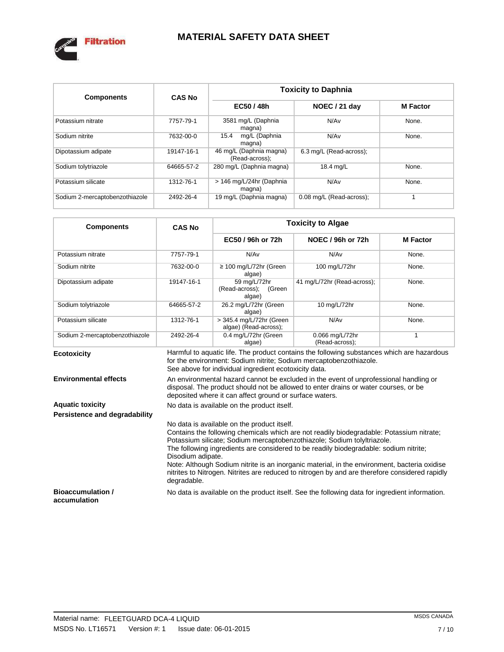

| <b>Components</b>              | <b>CAS No</b> | <b>Toxicity to Daphnia</b>                |                          |                 |  |  |
|--------------------------------|---------------|-------------------------------------------|--------------------------|-----------------|--|--|
|                                |               | EC50 / 48h                                | NOEC / 21 day            | <b>M</b> Factor |  |  |
| Potassium nitrate              | 7757-79-1     | 3581 mg/L (Daphnia<br>magna)              | N/A <sub>v</sub>         | None.           |  |  |
| Sodium nitrite                 | 7632-00-0     | mg/L (Daphnia<br>15.4<br>magna)           | N/A <sub>v</sub>         | None.           |  |  |
| Dipotassium adipate            | 19147-16-1    | 46 mg/L (Daphnia magna)<br>(Read-across); | 6.3 mg/L (Read-across);  |                 |  |  |
| Sodium tolytriazole            | 64665-57-2    | 280 mg/L (Daphnia magna)                  | 18.4 mg/L                | None.           |  |  |
| Potassium silicate             | 1312-76-1     | > 146 mg/L/24hr (Daphnia<br>magna)        | N/Av                     | None.           |  |  |
| Sodium 2-mercaptobenzothiazole | 2492-26-4     | 19 mg/L (Daphnia magna)                   | 0.08 mg/L (Read-across); |                 |  |  |

| <b>Components</b>              | <b>CAS No</b>                                                                                                                                                                                                                                                                                                                                                                                                                                                                                                                                     | <b>Toxicity to Algae</b>                                                          |                                   |                 |  |  |  |
|--------------------------------|---------------------------------------------------------------------------------------------------------------------------------------------------------------------------------------------------------------------------------------------------------------------------------------------------------------------------------------------------------------------------------------------------------------------------------------------------------------------------------------------------------------------------------------------------|-----------------------------------------------------------------------------------|-----------------------------------|-----------------|--|--|--|
|                                |                                                                                                                                                                                                                                                                                                                                                                                                                                                                                                                                                   | EC50 / 96h or 72h                                                                 | NOEC / 96h or 72h                 | <b>M</b> Factor |  |  |  |
| Potassium nitrate              | 7757-79-1                                                                                                                                                                                                                                                                                                                                                                                                                                                                                                                                         | N/A <sub>v</sub>                                                                  | N/Av                              | None.           |  |  |  |
| Sodium nitrite                 | 7632-00-0                                                                                                                                                                                                                                                                                                                                                                                                                                                                                                                                         | $\geq$ 100 mg/L/72hr (Green<br>algae)                                             | 100 mg/L/72hr                     | None.           |  |  |  |
| Dipotassium adipate            | 19147-16-1                                                                                                                                                                                                                                                                                                                                                                                                                                                                                                                                        | 59 mg/L/72hr<br>41 mg/L/72hr (Read-across);<br>(Read-across);<br>(Green<br>algae) |                                   | None.           |  |  |  |
| Sodium tolytriazole            | 64665-57-2                                                                                                                                                                                                                                                                                                                                                                                                                                                                                                                                        | 26.2 mg/L/72hr (Green<br>10 mg/L/72hr<br>algae)                                   |                                   | None.           |  |  |  |
| Potassium silicate             | 1312-76-1                                                                                                                                                                                                                                                                                                                                                                                                                                                                                                                                         | > 345.4 mg/L/72hr (Green<br>algae) (Read-across);                                 | N/Av                              | None.           |  |  |  |
| Sodium 2-mercaptobenzothiazole | 2492-26-4                                                                                                                                                                                                                                                                                                                                                                                                                                                                                                                                         | 0.4 mg/L/72hr (Green<br>algae)                                                    | 0.066 mg/L/72hr<br>(Read-across); | $\mathbf{1}$    |  |  |  |
| <b>Ecotoxicity</b>             | Harmful to aquatic life. The product contains the following substances which are hazardous<br>for the environment: Sodium nitrite; Sodium mercaptobenzothiazole.<br>See above for individual ingredient ecotoxicity data.                                                                                                                                                                                                                                                                                                                         |                                                                                   |                                   |                 |  |  |  |
| <b>Environmental effects</b>   | An environmental hazard cannot be excluded in the event of unprofessional handling or<br>disposal. The product should not be allowed to enter drains or water courses, or be<br>deposited where it can affect ground or surface waters.                                                                                                                                                                                                                                                                                                           |                                                                                   |                                   |                 |  |  |  |
| <b>Aquatic toxicity</b>        | No data is available on the product itself.                                                                                                                                                                                                                                                                                                                                                                                                                                                                                                       |                                                                                   |                                   |                 |  |  |  |
| Persistence and degradability  |                                                                                                                                                                                                                                                                                                                                                                                                                                                                                                                                                   |                                                                                   |                                   |                 |  |  |  |
|                                | No data is available on the product itself.<br>Contains the following chemicals which are not readily biodegradable: Potassium nitrate:<br>Potassium silicate; Sodium mercaptobenzothiazole; Sodium tolyltriazole.<br>The following ingredients are considered to be readily biodegradable: sodium nitrite;<br>Disodium adipate.<br>Note: Although Sodium nitrite is an inorganic material, in the environment, bacteria oxidise<br>nitrites to Nitrogen. Nitrites are reduced to nitrogen by and are therefore considered rapidly<br>degradable. |                                                                                   |                                   |                 |  |  |  |
| <b>Bioaccumulation /</b>       | No data is available on the product itself. See the following data for ingredient information.                                                                                                                                                                                                                                                                                                                                                                                                                                                    |                                                                                   |                                   |                 |  |  |  |

**Bioaccumulation / accumulation**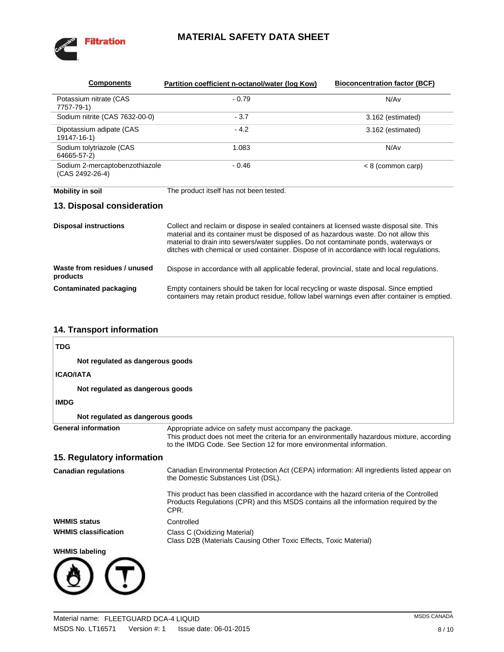

| <b>Components</b>                                 | Partition coefficient n-octanol/water (log Kow)                                                                                                                                                                                                                                                                                                                        | <b>Bioconcentration factor (BCF)</b> |  |  |  |
|---------------------------------------------------|------------------------------------------------------------------------------------------------------------------------------------------------------------------------------------------------------------------------------------------------------------------------------------------------------------------------------------------------------------------------|--------------------------------------|--|--|--|
| Potassium nitrate (CAS<br>7757-79-1)              | $-0.79$                                                                                                                                                                                                                                                                                                                                                                | N/Av                                 |  |  |  |
| Sodium nitrite (CAS 7632-00-0)                    | $-3.7$                                                                                                                                                                                                                                                                                                                                                                 | 3.162 (estimated)                    |  |  |  |
| Dipotassium adipate (CAS<br>19147-16-1)           | $-4.2$                                                                                                                                                                                                                                                                                                                                                                 | 3.162 (estimated)                    |  |  |  |
| Sodium tolytriazole (CAS<br>64665-57-2)           | 1.083                                                                                                                                                                                                                                                                                                                                                                  | N/Av                                 |  |  |  |
| Sodium 2-mercaptobenzothiazole<br>(CAS 2492-26-4) | $-0.46$                                                                                                                                                                                                                                                                                                                                                                | $< 8$ (common carp)                  |  |  |  |
| <b>Mobility in soil</b>                           | The product itself has not been tested.                                                                                                                                                                                                                                                                                                                                |                                      |  |  |  |
| 13. Disposal consideration                        |                                                                                                                                                                                                                                                                                                                                                                        |                                      |  |  |  |
| <b>Disposal instructions</b>                      | Collect and reclaim or dispose in sealed containers at licensed waste disposal site. This<br>material and its container must be disposed of as hazardous waste. Do not allow this<br>material to drain into sewers/water supplies. Do not contaminate ponds, waterways or<br>ditches with chemical or used container. Dispose of in accordance with local regulations. |                                      |  |  |  |
| Waste from residues / unused<br>products          | Dispose in accordance with all applicable federal, provincial, state and local regulations.                                                                                                                                                                                                                                                                            |                                      |  |  |  |

**Contaminated packaging** Empty containers should be taken for local recycling or waste disposal. Since emptied

containers may retain product residue, follow label warnings even after container is emptied.

### **14. Transport information**

| <b>TDG</b>                       |                                                                                                                                                                                                                                 |
|----------------------------------|---------------------------------------------------------------------------------------------------------------------------------------------------------------------------------------------------------------------------------|
| Not regulated as dangerous goods |                                                                                                                                                                                                                                 |
| <b>ICAO/IATA</b>                 |                                                                                                                                                                                                                                 |
| Not regulated as dangerous goods |                                                                                                                                                                                                                                 |
| <b>IMDG</b>                      |                                                                                                                                                                                                                                 |
| Not regulated as dangerous goods |                                                                                                                                                                                                                                 |
| <b>General information</b>       | Appropriate advice on safety must accompany the package.<br>This product does not meet the criteria for an environmentally hazardous mixture, according<br>to the IMDG Code. See Section 12 for more environmental information. |
| 15. Regulatory information       |                                                                                                                                                                                                                                 |
| <b>Canadian regulations</b>      | Canadian Environmental Protection Act (CEPA) information: All ingredients listed appear on<br>the Domestic Substances List (DSL).                                                                                               |
|                                  | This product has been classified in accordance with the hazard criteria of the Controlled<br>Products Regulations (CPR) and this MSDS contains all the information required by the<br>CPR.                                      |
| <b>WHMIS status</b>              | Controlled                                                                                                                                                                                                                      |
| <b>WHMIS classification</b>      | Class C (Oxidizing Material)<br>Class D2B (Materials Causing Other Toxic Effects, Toxic Material)                                                                                                                               |
| <b>WHMIS labeling</b>            |                                                                                                                                                                                                                                 |
|                                  |                                                                                                                                                                                                                                 |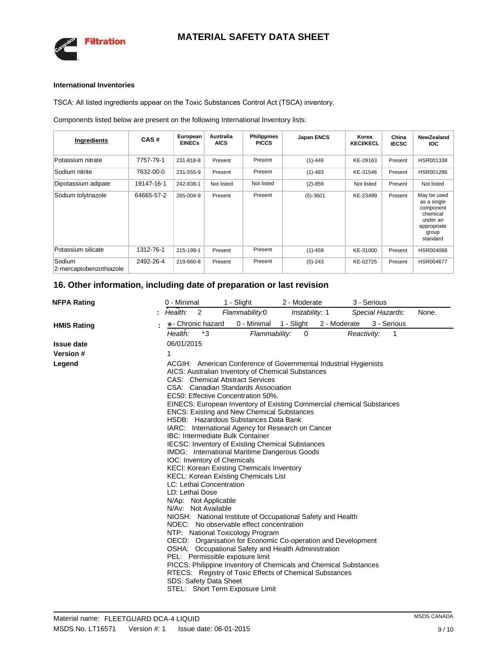

#### **International Inventories**

TSCA: All listed ingredients appear on the Toxic Substances Control Act (TSCA) inventory.

Components listed below are present on the following International Inventory lists:

| Ingredients                       | CAS#       | European<br><b>EINECs</b> | Australia<br><b>AICS</b> | <b>Philippines</b><br><b>PICCS</b> | <b>Japan ENCS</b> | Korea<br><b>KECI/KECL</b> | China<br><b>IECSC</b> | <b>NewZealand</b><br><b>IOC</b>                                                                     |
|-----------------------------------|------------|---------------------------|--------------------------|------------------------------------|-------------------|---------------------------|-----------------------|-----------------------------------------------------------------------------------------------------|
| Potassium nitrate                 | 7757-79-1  | 231-818-8                 | Present                  | Present                            | $(1) - 449$       | KE-29163                  | Present               | HSR001338                                                                                           |
| Sodium nitrite                    | 7632-00-0  | 231-555-9                 | Present                  | Present                            | $(1) - 483$       | KE-31546                  | Present               | HSR001286                                                                                           |
| Dipotassium adipate               | 19147-16-1 | 242-838-1                 | Not listed               | Not listed                         | $(2)-859$         | Not listed                | Present               | Not listed                                                                                          |
| Sodium tolytriazole               | 64665-57-2 | 265-004-9                 | Present                  | Present                            | $(5)-3601$        | KE-23499                  | Present               | May be used<br>as a single<br>component<br>chemical<br>under an<br>appropriate<br>group<br>standard |
| Potassium silicate                | 1312-76-1  | 215-199-1                 | Present                  | Present                            | $(1) - 459$       | KE-31000                  | Present               | HSR004068                                                                                           |
| Sodium<br>2-mercaptobenzothiazole | 2492-26-4  | 219-660-8                 | Present                  | Present                            | $(5)-243$         | KE-02725                  | Present               | <b>HSR004677</b>                                                                                    |

### **16. Other information, including date of preparation or last revision**

| <b>NFPA Rating</b> |   | 0 - Minimal |                                                                                            | 1 - Slight                                                                                                                                                                                                                                                                                                                                                                                                                                                                                                                                                                                                                                                                                                                                                                                                                                                                                                                                                                                                                                                                                                                                   | 2 - Moderate   |              | 3 - Serious      |             |       |  |
|--------------------|---|-------------|--------------------------------------------------------------------------------------------|----------------------------------------------------------------------------------------------------------------------------------------------------------------------------------------------------------------------------------------------------------------------------------------------------------------------------------------------------------------------------------------------------------------------------------------------------------------------------------------------------------------------------------------------------------------------------------------------------------------------------------------------------------------------------------------------------------------------------------------------------------------------------------------------------------------------------------------------------------------------------------------------------------------------------------------------------------------------------------------------------------------------------------------------------------------------------------------------------------------------------------------------|----------------|--------------|------------------|-------------|-------|--|
|                    |   | Health:     | 2                                                                                          | Flammability.0                                                                                                                                                                                                                                                                                                                                                                                                                                                                                                                                                                                                                                                                                                                                                                                                                                                                                                                                                                                                                                                                                                                               | Instability: 1 |              | Special Hazards: |             | None. |  |
| <b>HMIS Rating</b> |   |             | *- Chronic hazard                                                                          | 0 - Minimal                                                                                                                                                                                                                                                                                                                                                                                                                                                                                                                                                                                                                                                                                                                                                                                                                                                                                                                                                                                                                                                                                                                                  | 1 - Slight     | 2 - Moderate |                  | 3 - Serious |       |  |
|                    |   | Health:     | $*3$                                                                                       | Flammability:                                                                                                                                                                                                                                                                                                                                                                                                                                                                                                                                                                                                                                                                                                                                                                                                                                                                                                                                                                                                                                                                                                                                | $\mathbf{0}$   |              | Reactivity:      | -1          |       |  |
| <b>Issue date</b>  |   |             | 06/01/2015                                                                                 |                                                                                                                                                                                                                                                                                                                                                                                                                                                                                                                                                                                                                                                                                                                                                                                                                                                                                                                                                                                                                                                                                                                                              |                |              |                  |             |       |  |
| Version #          | 1 |             |                                                                                            |                                                                                                                                                                                                                                                                                                                                                                                                                                                                                                                                                                                                                                                                                                                                                                                                                                                                                                                                                                                                                                                                                                                                              |                |              |                  |             |       |  |
| Legend             |   |             | LC: Lethal Concentration<br>LD: Lethal Dose<br>N/Ap: Not Applicable<br>N/Av: Not Available | ACGIH: American Conference of Governmental Industrial Hygienists<br>AICS: Australian Inventory of Chemical Substances<br><b>CAS:</b> Chemical Abstract Services<br>CSA: Canadian Standards Association<br>EC50: Effective Concentration 50%.<br>EINECS: European Inventory of Existing Commercial chemical Substances<br><b>ENCS: Existing and New Chemical Substances</b><br>HSDB: Hazardous Substances Data Bank<br>IARC: International Agency for Research on Cancer<br><b>IBC: Intermediate Bulk Container</b><br><b>IECSC: Inventory of Existing Chemical Substances</b><br>IMDG: International Maritime Dangerous Goods<br>IOC: Inventory of Chemicals<br><b>KECI: Korean Existing Chemicals Inventory</b><br><b>KECL: Korean Existing Chemicals List</b><br>NIOSH: National Institute of Occupational Safety and Health<br>NOEC: No observable effect concentration<br>NTP: National Toxicology Program<br>OECD: Organisation for Economic Co-operation and Development<br>OSHA: Occupational Safety and Health Administration<br>PEL: Permissible exposure limit<br>PICCS: Philippine Inventory of Chemicals and Chemical Substances |                |              |                  |             |       |  |
|                    |   |             | <b>SDS: Safety Data Sheet</b>                                                              | RTECS: Registry of Toxic Effects of Chemical Substances                                                                                                                                                                                                                                                                                                                                                                                                                                                                                                                                                                                                                                                                                                                                                                                                                                                                                                                                                                                                                                                                                      |                |              |                  |             |       |  |
|                    |   |             |                                                                                            | STEL: Short Term Exposure Limit                                                                                                                                                                                                                                                                                                                                                                                                                                                                                                                                                                                                                                                                                                                                                                                                                                                                                                                                                                                                                                                                                                              |                |              |                  |             |       |  |